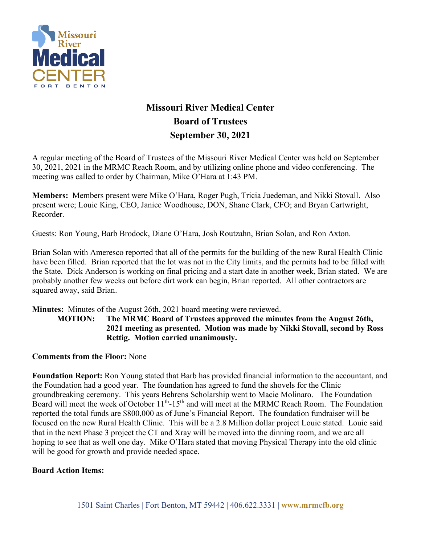

# **Missouri River Medical Center Board of Trustees September 30, 2021**

A regular meeting of the Board of Trustees of the Missouri River Medical Center was held on September 30, 2021, 2021 in the MRMC Reach Room, and by utilizing online phone and video conferencing. The meeting was called to order by Chairman, Mike O'Hara at 1:43 PM.

**Members:** Members present were Mike O'Hara, Roger Pugh, Tricia Juedeman, and Nikki Stovall. Also present were; Louie King, CEO, Janice Woodhouse, DON, Shane Clark, CFO; and Bryan Cartwright, Recorder.

Guests: Ron Young, Barb Brodock, Diane O'Hara, Josh Routzahn, Brian Solan, and Ron Axton.

Brian Solan with Ameresco reported that all of the permits for the building of the new Rural Health Clinic have been filled. Brian reported that the lot was not in the City limits, and the permits had to be filled with the State. Dick Anderson is working on final pricing and a start date in another week, Brian stated. We are probably another few weeks out before dirt work can begin, Brian reported. All other contractors are squared away, said Brian.

**Minutes:** Minutes of the August 26th, 2021 board meeting were reviewed.

**MOTION: The MRMC Board of Trustees approved the minutes from the August 26th, 2021 meeting as presented. Motion was made by Nikki Stovall, second by Ross Rettig. Motion carried unanimously.**

#### **Comments from the Floor:** None

**Foundation Report:** Ron Young stated that Barb has provided financial information to the accountant, and the Foundation had a good year. The foundation has agreed to fund the shovels for the Clinic groundbreaking ceremony. This years Behrens Scholarship went to Macie Molinaro. The Foundation Board will meet the week of October  $11<sup>th</sup> - 15<sup>th</sup>$  and will meet at the MRMC Reach Room. The Foundation reported the total funds are \$800,000 as of June's Financial Report. The foundation fundraiser will be focused on the new Rural Health Clinic. This will be a 2.8 Million dollar project Louie stated. Louie said that in the next Phase 3 project the CT and Xray will be moved into the dinning room, and we are all hoping to see that as well one day. Mike O'Hara stated that moving Physical Therapy into the old clinic will be good for growth and provide needed space.

#### **Board Action Items:**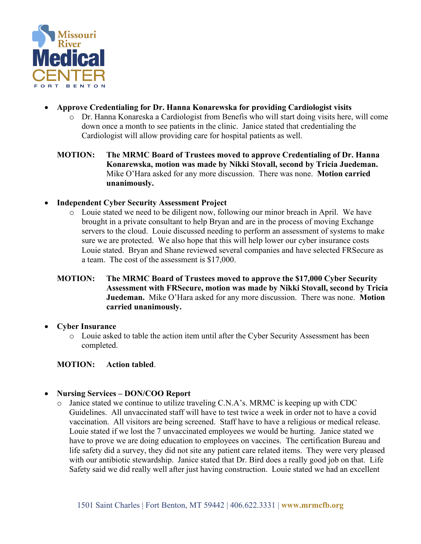

- **Approve Credentialing for Dr. Hanna Konarewska for providing Cardiologist visits**
	- o Dr. Hanna Konareska a Cardiologist from Benefis who will start doing visits here, will come down once a month to see patients in the clinic. Janice stated that credentialing the Cardiologist will allow providing care for hospital patients as well.
	- **MOTION: The MRMC Board of Trustees moved to approve Credentialing of Dr. Hanna Konarewska, motion was made by Nikki Stovall, second by Tricia Juedeman.**  Mike O'Hara asked for any more discussion. There was none. **Motion carried unanimously.**
- **Independent Cyber Security Assessment Project**
	- o Louie stated we need to be diligent now, following our minor breach in April. We have brought in a private consultant to help Bryan and are in the process of moving Exchange servers to the cloud. Louie discussed needing to perform an assessment of systems to make sure we are protected. We also hope that this will help lower our cyber insurance costs Louie stated. Bryan and Shane reviewed several companies and have selected FRSecure as a team. The cost of the assessment is \$17,000.
	- **MOTION: The MRMC Board of Trustees moved to approve the \$17,000 Cyber Security Assessment with FRSecure, motion was made by Nikki Stovall, second by Tricia Juedeman.** Mike O'Hara asked for any more discussion. There was none. **Motion carried unanimously.**

## • **Cyber Insurance**

o Louie asked to table the action item until after the Cyber Security Assessment has been completed.

## **MOTION: Action tabled**.

- **Nursing Services – DON/COO Report**
	- o Janice stated we continue to utilize traveling C.N.A's. MRMC is keeping up with CDC Guidelines. All unvaccinated staff will have to test twice a week in order not to have a covid vaccination. All visitors are being screened. Staff have to have a religious or medical release. Louie stated if we lost the 7 unvaccinated employees we would be hurting. Janice stated we have to prove we are doing education to employees on vaccines. The certification Bureau and life safety did a survey, they did not site any patient care related items. They were very pleased with our antibiotic stewardship. Janice stated that Dr. Bird does a really good job on that. Life Safety said we did really well after just having construction. Louie stated we had an excellent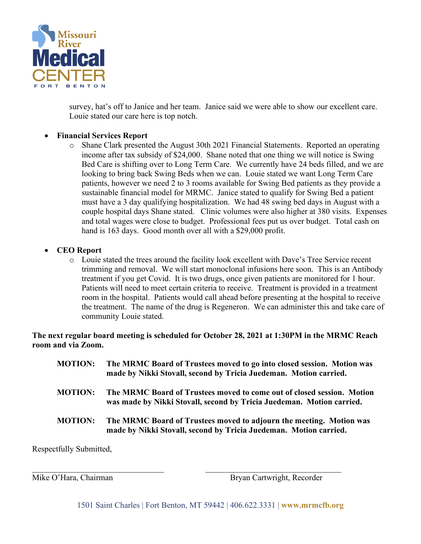

survey, hat's off to Janice and her team. Janice said we were able to show our excellent care. Louie stated our care here is top notch.

## • **Financial Services Report**

o Shane Clark presented the August 30th 2021 Financial Statements. Reported an operating income after tax subsidy of \$24,000. Shane noted that one thing we will notice is Swing Bed Care is shifting over to Long Term Care. We currently have 24 beds filled, and we are looking to bring back Swing Beds when we can. Louie stated we want Long Term Care patients, however we need 2 to 3 rooms available for Swing Bed patients as they provide a sustainable financial model for MRMC. Janice stated to qualify for Swing Bed a patient must have a 3 day qualifying hospitalization. We had 48 swing bed days in August with a couple hospital days Shane stated. Clinic volumes were also higher at 380 visits. Expenses and total wages were close to budget. Professional fees put us over budget. Total cash on hand is 163 days. Good month over all with a \$29,000 profit.

## • **CEO Report**

o Louie stated the trees around the facility look excellent with Dave's Tree Service recent trimming and removal. We will start monoclonal infusions here soon. This is an Antibody treatment if you get Covid. It is two drugs, once given patients are monitored for 1 hour. Patients will need to meet certain criteria to receive. Treatment is provided in a treatment room in the hospital. Patients would call ahead before presenting at the hospital to receive the treatment. The name of the drug is Regeneron. We can administer this and take care of community Louie stated.

**The next regular board meeting is scheduled for October 28, 2021 at 1:30PM in the MRMC Reach room and via Zoom.**

| <b>MOTION:</b> | The MRMC Board of Trustees moved to go into closed session. Motion was<br>made by Nikki Stovall, second by Tricia Juedeman. Motion carried.     |
|----------------|-------------------------------------------------------------------------------------------------------------------------------------------------|
| <b>MOTION:</b> | The MRMC Board of Trustees moved to come out of closed session. Motion<br>was made by Nikki Stovall, second by Tricia Juedeman. Motion carried. |
| <b>MOTION:</b> | The MRMC Board of Trustees moved to adjourn the meeting. Motion was<br>made by Nikki Stovall, second by Tricia Juedeman. Motion carried.        |

Respectfully Submitted,

Mike O'Hara, Chairman Bryan Cartwright, Recorder

1501 Saint Charles | Fort Benton, MT 59442 | 406.622.3331 | **www.mrmcfb.org**

 $\_$